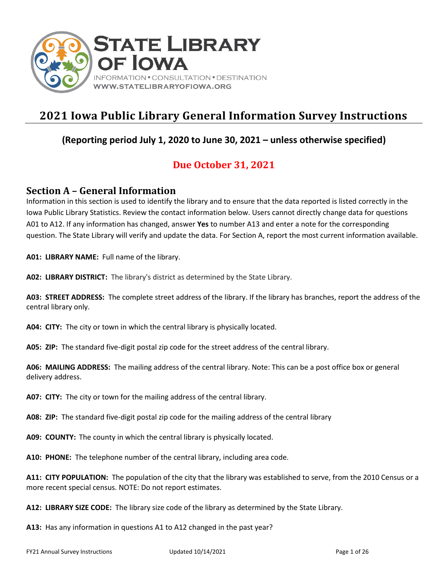

# **2021 Iowa Public Library General Information Survey Instructions**

### **(Reporting period July 1, 2020 to June 30, 2021 – unless otherwise specified)**

## **Due October 31, 2021**

### **Section A – General Information**

Information in this section is used to identify the library and to ensure that the data reported is listed correctly in the Iowa Public Library Statistics. Review the contact information below. Users cannot directly change data for questions A01 to A12. If any information has changed, answer **Yes** to number A13 and enter a note for the corresponding question. The State Library will verify and update the data. For Section A, report the most current information available.

**A01: LIBRARY NAME:** Full name of the library.

**A02: LIBRARY DISTRICT:** The library's district as determined by the State Library.

**A03: STREET ADDRESS:** The complete street address of the library. If the library has branches, report the address of the central library only.

**A04: CITY:** The city or town in which the central library is physically located.

**A05: ZIP:** The standard five-digit postal zip code for the street address of the central library.

**A06: MAILING ADDRESS:** The mailing address of the central library. Note: This can be a post office box or general delivery address.

**A07: CITY:** The city or town for the mailing address of the central library.

**A08: ZIP:** The standard five-digit postal zip code for the mailing address of the central library

**A09: COUNTY:** The county in which the central library is physically located.

**A10: PHONE:** The telephone number of the central library, including area code.

**A11: CITY POPULATION:** The population of the city that the library was established to serve, from the 2010 Census or a more recent special census. NOTE: Do not report estimates.

**A12: LIBRARY SIZE CODE:** The library size code of the library as determined by the State Library.

**A13:** Has any information in questions A1 to A12 changed in the past year?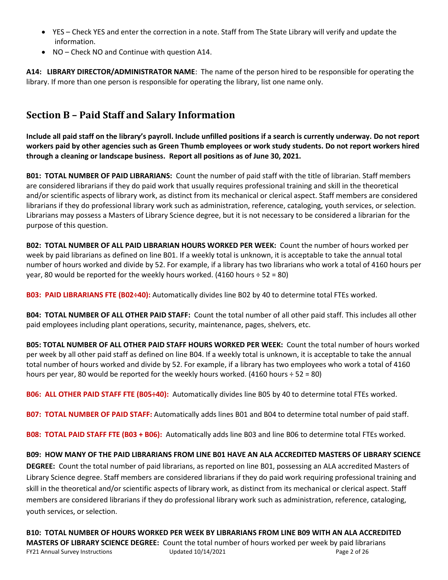- YES Check YES and enter the correction in a note. Staff from The State Library will verify and update the information.
- NO Check NO and Continue with question A14.

**A14: LIBRARY DIRECTOR/ADMINISTRATOR NAME**: The name of the person hired to be responsible for operating the library. If more than one person is responsible for operating the library, list one name only.

## **Section B – Paid Staff and Salary Information**

**Include all paid staff on the library's payroll. Include unfilled positions if a search is currently underway. Do not report workers paid by other agencies such as Green Thumb employees or work study students. Do not report workers hired through a cleaning or landscape business. Report all positions as of June 30, 2021.**

**B01: TOTAL NUMBER OF PAID LIBRARIANS:** Count the number of paid staff with the title of librarian. Staff members are considered librarians if they do paid work that usually requires professional training and skill in the theoretical and/or scientific aspects of library work, as distinct from its mechanical or clerical aspect. Staff members are considered librarians if they do professional library work such as administration, reference, cataloging, youth services, or selection. Librarians may possess a Masters of Library Science degree, but it is not necessary to be considered a librarian for the purpose of this question.

**B02: TOTAL NUMBER OF ALL PAID LIBRARIAN HOURS WORKED PER WEEK:** Count the number of hours worked per week by paid librarians as defined on line B01. If a weekly total is unknown, it is acceptable to take the annual total number of hours worked and divide by 52. For example, if a library has two librarians who work a total of 4160 hours per year, 80 would be reported for the weekly hours worked. (4160 hours  $\div$  52 = 80)

**B03: PAID LIBRARIANS FTE (B02÷40):** Automatically divides line B02 by 40 to determine total FTEs worked.

**B04: TOTAL NUMBER OF ALL OTHER PAID STAFF:** Count the total number of all other paid staff. This includes all other paid employees including plant operations, security, maintenance, pages, shelvers, etc.

**B05: TOTAL NUMBER OF ALL OTHER PAID STAFF HOURS WORKED PER WEEK:** Count the total number of hours worked per week by all other paid staff as defined on line B04. If a weekly total is unknown, it is acceptable to take the annual total number of hours worked and divide by 52. For example, if a library has two employees who work a total of 4160 hours per year, 80 would be reported for the weekly hours worked. (4160 hours  $\div$  52 = 80)

**B06: ALL OTHER PAID STAFF FTE (B05÷40):** Automatically divides line B05 by 40 to determine total FTEs worked.

**B07: TOTAL NUMBER OF PAID STAFF:** Automatically adds lines B01 and B04 to determine total number of paid staff.

**B08: TOTAL PAID STAFF FTE (B03 + B06):** Automatically adds line B03 and line B06 to determine total FTEs worked.

**B09: HOW MANY OF THE PAID LIBRARIANS FROM LINE B01 HAVE AN ALA ACCREDITED MASTERS OF LIBRARY SCIENCE** 

**DEGREE:** Count the total number of paid librarians, as reported on line B01, possessing an ALA accredited Masters of Library Science degree. Staff members are considered librarians if they do paid work requiring professional training and skill in the theoretical and/or scientific aspects of library work, as distinct from its mechanical or clerical aspect. Staff members are considered librarians if they do professional library work such as administration, reference, cataloging, youth services, or selection.

FY21 Annual Survey Instructions **EXECUTE:** Updated 10/14/2021 **Page 2** of 26 and Page 2 of 26 **B10: TOTAL NUMBER OF HOURS WORKED PER WEEK BY LIBRARIANS FROM LINE B09 WITH AN ALA ACCREDITED MASTERS OF LIBRARY SCIENCE DEGREE:** Count the total number of hours worked per week by paid librarians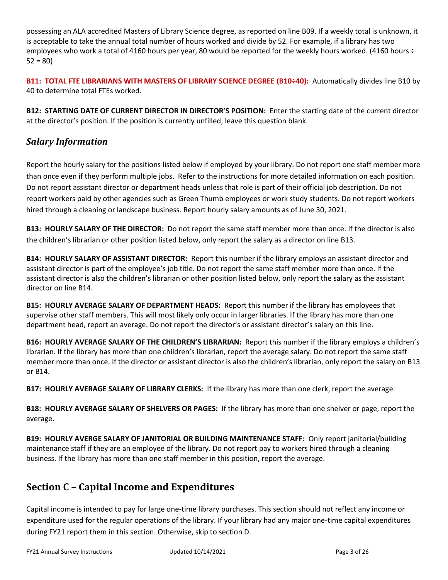possessing an ALA accredited Masters of Library Science degree, as reported on line B09. If a weekly total is unknown, it is acceptable to take the annual total number of hours worked and divide by 52. For example, if a library has two employees who work a total of 4160 hours per year, 80 would be reported for the weekly hours worked. (4160 hours ÷  $52 = 80$ 

**B11: TOTAL FTE LIBRARIANS WITH MASTERS OF LIBRARY SCIENCE DEGREE (B10÷40):** Automatically divides line B10 by 40 to determine total FTEs worked.

**B12: STARTING DATE OF CURRENT DIRECTOR IN DIRECTOR'S POSITION:** Enter the starting date of the current director at the director's position. If the position is currently unfilled, leave this question blank.

### *Salary Information*

Report the hourly salary for the positions listed below if employed by your library. Do not report one staff member more than once even if they perform multiple jobs. Refer to the instructions for more detailed information on each position. Do not report assistant director or department heads unless that role is part of their official job description. Do not report workers paid by other agencies such as Green Thumb employees or work study students. Do not report workers hired through a cleaning or landscape business. Report hourly salary amounts as of June 30, 2021.

**B13: HOURLY SALARY OF THE DIRECTOR:** Do not report the same staff member more than once. If the director is also the children's librarian or other position listed below, only report the salary as a director on line B13.

**B14: HOURLY SALARY OF ASSISTANT DIRECTOR:** Report this number if the library employs an assistant director and assistant director is part of the employee's job title. Do not report the same staff member more than once. If the assistant director is also the children's librarian or other position listed below, only report the salary as the assistant director on line B14.

**B15: HOURLY AVERAGE SALARY OF DEPARTMENT HEADS:** Report this number if the library has employees that supervise other staff members. This will most likely only occur in larger libraries. If the library has more than one department head, report an average. Do not report the director's or assistant director's salary on this line.

**B16: HOURLY AVERAGE SALARY OF THE CHILDREN'S LIBRARIAN:** Report this number if the library employs a children's librarian. If the library has more than one children's librarian, report the average salary. Do not report the same staff member more than once. If the director or assistant director is also the children's librarian, only report the salary on B13 or B14.

**B17: HOURLY AVERAGE SALARY OF LIBRARY CLERKS:** If the library has more than one clerk, report the average.

**B18: HOURLY AVERAGE SALARY OF SHELVERS OR PAGES:** If the library has more than one shelver or page, report the average.

**B19: HOURLY AVERGE SALARY OF JANITORIAL OR BUILDING MAINTENANCE STAFF:** Only report janitorial/building maintenance staff if they are an employee of the library. Do not report pay to workers hired through a cleaning business. If the library has more than one staff member in this position, report the average.

## **Section C – Capital Income and Expenditures**

Capital income is intended to pay for large one-time library purchases. This section should not reflect any income or expenditure used for the regular operations of the library. If your library had any major one-time capital expenditures during FY21 report them in this section. Otherwise, skip to section D.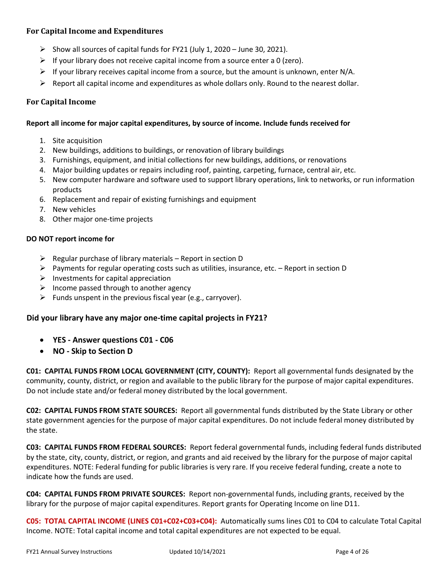### **For Capital Income and Expenditures**

- ➢ Show all sources of capital funds for FY21 (July 1, 2020 June 30, 2021).
- $\triangleright$  If your library does not receive capital income from a source enter a 0 (zero).
- $\triangleright$  If your library receives capital income from a source, but the amount is unknown, enter N/A.
- $\triangleright$  Report all capital income and expenditures as whole dollars only. Round to the nearest dollar.

### **For Capital Income**

#### **Report all income for major capital expenditures, by source of income. Include funds received for**

- 1. Site acquisition
- 2. New buildings, additions to buildings, or renovation of library buildings
- 3. Furnishings, equipment, and initial collections for new buildings, additions, or renovations
- 4. Major building updates or repairs including roof, painting, carpeting, furnace, central air, etc.
- 5. New computer hardware and software used to support library operations, link to networks, or run information products
- 6. Replacement and repair of existing furnishings and equipment
- 7. New vehicles
- 8. Other major one-time projects

### **DO NOT report income for**

- $\triangleright$  Regular purchase of library materials Report in section D
- $\triangleright$  Payments for regular operating costs such as utilities, insurance, etc. Report in section D
- $\triangleright$  Investments for capital appreciation
- $\triangleright$  Income passed through to another agency
- $\triangleright$  Funds unspent in the previous fiscal year (e.g., carryover).

### **Did your library have any major one-time capital projects in FY21?**

- **YES - Answer questions C01 - C06**
- **NO - Skip to Section D**

**C01: CAPITAL FUNDS FROM LOCAL GOVERNMENT (CITY, COUNTY):** Report all governmental funds designated by the community, county, district, or region and available to the public library for the purpose of major capital expenditures. Do not include state and/or federal money distributed by the local government.

**C02: CAPITAL FUNDS FROM STATE SOURCES:** Report all governmental funds distributed by the State Library or other state government agencies for the purpose of major capital expenditures. Do not include federal money distributed by the state.

**C03: CAPITAL FUNDS FROM FEDERAL SOURCES:** Report federal governmental funds, including federal funds distributed by the state, city, county, district, or region, and grants and aid received by the library for the purpose of major capital expenditures. NOTE: Federal funding for public libraries is very rare. If you receive federal funding, create a note to indicate how the funds are used.

**C04: CAPITAL FUNDS FROM PRIVATE SOURCES:** Report non-governmental funds, including grants, received by the library for the purpose of major capital expenditures. Report grants for Operating Income on line D11.

**C05: TOTAL CAPITAL INCOME (LINES C01+C02+C03+C04):** Automatically sums lines C01 to C04 to calculate Total Capital Income. NOTE: Total capital income and total capital expenditures are not expected to be equal.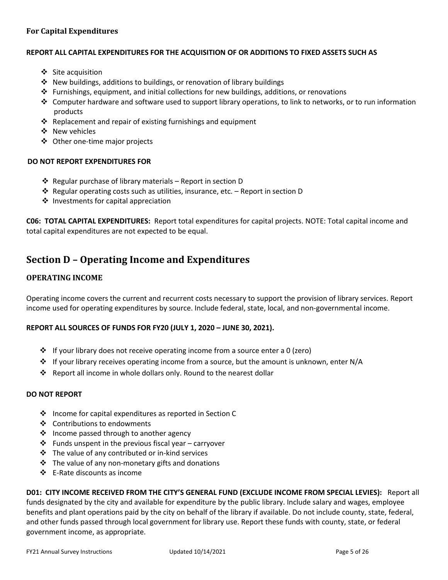### **For Capital Expenditures**

#### **REPORT ALL CAPITAL EXPENDITURES FOR THE ACQUISITION OF OR ADDITIONS TO FIXED ASSETS SUCH AS**

- ❖ Site acquisition
- ❖ New buildings, additions to buildings, or renovation of library buildings
- ❖ Furnishings, equipment, and initial collections for new buildings, additions, or renovations
- ❖ Computer hardware and software used to support library operations, to link to networks, or to run information products
- ❖ Replacement and repair of existing furnishings and equipment
- ❖ New vehicles
- ❖ Other one-time major projects

#### **DO NOT REPORT EXPENDITURES FOR**

- ❖ Regular purchase of library materials Report in section D
- ◆ Regular operating costs such as utilities, insurance, etc. Report in section D
- ❖ Investments for capital appreciation

**C06: TOTAL CAPITAL EXPENDITURES:** Report total expenditures for capital projects. NOTE: Total capital income and total capital expenditures are not expected to be equal.

### **Section D – Operating Income and Expenditures**

### **OPERATING INCOME**

Operating income covers the current and recurrent costs necessary to support the provision of library services. Report income used for operating expenditures by source. Include federal, state, local, and non-governmental income.

#### **REPORT ALL SOURCES OF FUNDS FOR FY20 (JULY 1, 2020 – JUNE 30, 2021).**

- ❖ If your library does not receive operating income from a source enter a 0 (zero)
- ❖ If your library receives operating income from a source, but the amount is unknown, enter N/A
- ❖ Report all income in whole dollars only. Round to the nearest dollar

#### **DO NOT REPORT**

- ❖ Income for capital expenditures as reported in Section C
- ❖ Contributions to endowments
- ❖ Income passed through to another agency
- ❖ Funds unspent in the previous fiscal year carryover
- ❖ The value of any contributed or in-kind services
- ❖ The value of any non-monetary gifts and donations
- ❖ E-Rate discounts as income

**D01: CITY INCOME RECEIVED FROM THE CITY'S GENERAL FUND (EXCLUDE INCOME FROM SPECIAL LEVIES):** Report all funds designated by the city and available for expenditure by the public library. Include salary and wages, employee benefits and plant operations paid by the city on behalf of the library if available. Do not include county, state, federal, and other funds passed through local government for library use. Report these funds with county, state, or federal government income, as appropriate.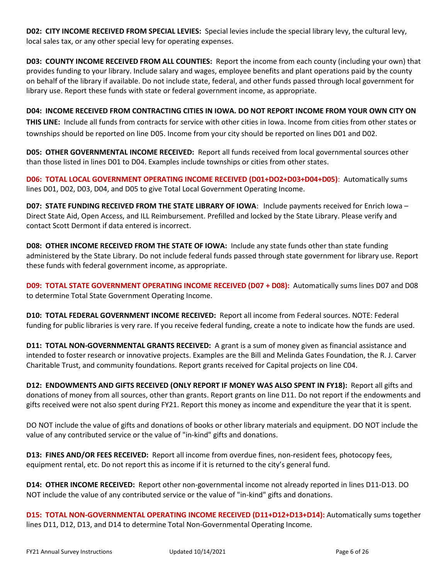**D02: CITY INCOME RECEIVED FROM SPECIAL LEVIES:** Special levies include the special library levy, the cultural levy, local sales tax, or any other special levy for operating expenses.

**D03: COUNTY INCOME RECEIVED FROM ALL COUNTIES:** Report the income from each county (including your own) that provides funding to your library. Include salary and wages, employee benefits and plant operations paid by the county on behalf of the library if available. Do not include state, federal, and other funds passed through local government for library use. Report these funds with state or federal government income, as appropriate.

**D04: INCOME RECEIVED FROM CONTRACTING CITIES IN IOWA. DO NOT REPORT INCOME FROM YOUR OWN CITY ON THIS LINE:** Include all funds from contracts for service with other cities in Iowa. Income from cities from other states or townships should be reported on line D05. Income from your city should be reported on lines D01 and D02.

**D05: OTHER GOVERNMENTAL INCOME RECEIVED:** Report all funds received from local governmental sources other than those listed in lines D01 to D04. Examples include townships or cities from other states.

**D06: TOTAL LOCAL GOVERNMENT OPERATING INCOME RECEIVED (D01+DO2+D03+D04+D05)**: Automatically sums lines D01, D02, D03, D04, and D05 to give Total Local Government Operating Income.

**D07: STATE FUNDING RECEIVED FROM THE STATE LIBRARY OF IOWA**: Include payments received for Enrich Iowa – Direct State Aid, Open Access, and ILL Reimbursement. Prefilled and locked by the State Library. Please verify and contact Scott Dermont if data entered is incorrect.

**D08: OTHER INCOME RECEIVED FROM THE STATE OF IOWA:** Include any state funds other than state funding administered by the State Library. Do not include federal funds passed through state government for library use. Report these funds with federal government income, as appropriate.

**D09: TOTAL STATE GOVERNMENT OPERATING INCOME RECEIVED (D07 + D08):** Automatically sums lines D07 and D08 to determine Total State Government Operating Income.

**D10: TOTAL FEDERAL GOVERNMENT INCOME RECEIVED:** Report all income from Federal sources. NOTE: Federal funding for public libraries is very rare. If you receive federal funding, create a note to indicate how the funds are used.

**D11: TOTAL NON-GOVERNMENTAL GRANTS RECEIVED:** A grant is a sum of money given as financial assistance and intended to foster research or innovative projects. Examples are the Bill and Melinda Gates Foundation, the R. J. Carver Charitable Trust, and community foundations. Report grants received for Capital projects on line C04.

**D12: ENDOWMENTS AND GIFTS RECEIVED (ONLY REPORT IF MONEY WAS ALSO SPENT IN FY18):** Report all gifts and donations of money from all sources, other than grants. Report grants on line D11. Do not report if the endowments and gifts received were not also spent during FY21. Report this money as income and expenditure the year that it is spent.

DO NOT include the value of gifts and donations of books or other library materials and equipment. DO NOT include the value of any contributed service or the value of "in-kind" gifts and donations.

**D13: FINES AND/OR FEES RECEIVED:** Report all income from overdue fines, non-resident fees, photocopy fees, equipment rental, etc. Do not report this as income if it is returned to the city's general fund.

**D14: OTHER INCOME RECEIVED:** Report other non-governmental income not already reported in lines D11-D13. DO NOT include the value of any contributed service or the value of "in-kind" gifts and donations.

**D15: TOTAL NON-GOVERNMENTAL OPERATING INCOME RECEIVED (D11+D12+D13+D14):** Automatically sums together lines D11, D12, D13, and D14 to determine Total Non-Governmental Operating Income.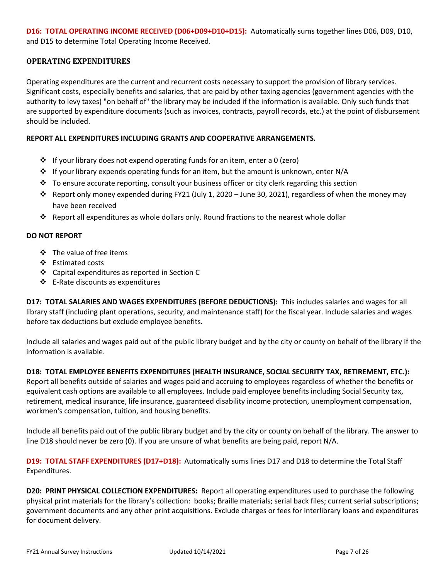**D16: TOTAL OPERATING INCOME RECEIVED (D06+D09+D10+D15):** Automatically sums together lines D06, D09, D10, and D15 to determine Total Operating Income Received.

### **OPERATING EXPENDITURES**

Operating expenditures are the current and recurrent costs necessary to support the provision of library services. Significant costs, especially benefits and salaries, that are paid by other taxing agencies (government agencies with the authority to levy taxes) "on behalf of" the library may be included if the information is available. Only such funds that are supported by expenditure documents (such as invoices, contracts, payroll records, etc.) at the point of disbursement should be included.

### **REPORT ALL EXPENDITURES INCLUDING GRANTS AND COOPERATIVE ARRANGEMENTS.**

- ❖ If your library does not expend operating funds for an item, enter a 0 (zero)
- ❖ If your library expends operating funds for an item, but the amount is unknown, enter N/A
- $\div$  To ensure accurate reporting, consult your business officer or city clerk regarding this section
- $\dots$  Report only money expended during FY21 (July 1, 2020 June 30, 2021), regardless of when the money may have been received
- ❖ Report all expenditures as whole dollars only. Round fractions to the nearest whole dollar

#### **DO NOT REPORT**

- ❖ The value of free items
- ❖ Estimated costs
- ❖ Capital expenditures as reported in Section C
- ❖ E-Rate discounts as expenditures

**D17: TOTAL SALARIES AND WAGES EXPENDITURES (BEFORE DEDUCTIONS):** This includes salaries and wages for all library staff (including plant operations, security, and maintenance staff) for the fiscal year. Include salaries and wages before tax deductions but exclude employee benefits.

Include all salaries and wages paid out of the public library budget and by the city or county on behalf of the library if the information is available.

**D18: TOTAL EMPLOYEE BENEFITS EXPENDITURES (HEALTH INSURANCE, SOCIAL SECURITY TAX, RETIREMENT, ETC.):** Report all benefits outside of salaries and wages paid and accruing to employees regardless of whether the benefits or equivalent cash options are available to all employees. Include paid employee benefits including Social Security tax, retirement, medical insurance, life insurance, guaranteed disability income protection, unemployment compensation, workmen's compensation, tuition, and housing benefits.

Include all benefits paid out of the public library budget and by the city or county on behalf of the library. The answer to line D18 should never be zero (0). If you are unsure of what benefits are being paid, report N/A.

**D19: TOTAL STAFF EXPENDITURES (D17+D18):** Automatically sums lines D17 and D18 to determine the Total Staff Expenditures.

**D20: PRINT PHYSICAL COLLECTION EXPENDITURES:** Report all operating expenditures used to purchase the following physical print materials for the library's collection: books; Braille materials; serial back files; current serial subscriptions; government documents and any other print acquisitions. Exclude charges or fees for interlibrary loans and expenditures for document delivery.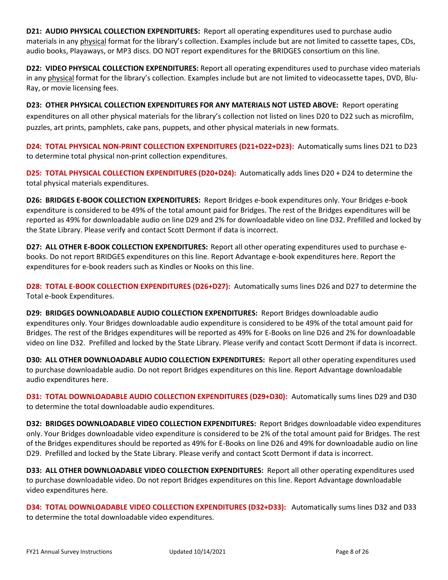**D21: AUDIO PHYSICAL COLLECTION EXPENDITURES:** Report all operating expenditures used to purchase audio materials in any physical format for the library's collection. Examples include but are not limited to cassette tapes, CDs, audio books, Playaways, or MP3 discs. DO NOT report expenditures for the BRIDGES consortium on this line.

**D22: VIDEO PHYSICAL COLLECTION EXPENDITURES:** Report all operating expenditures used to purchase video materials in any physical format for the library's collection. Examples include but are not limited to videocassette tapes, DVD, Blu-Ray, or movie licensing fees.

**D23: OTHER PHYSICAL COLLECTION EXPENDITURES FOR ANY MATERIALS NOT LISTED ABOVE:** Report operating expenditures on all other physical materials for the library's collection not listed on lines D20 to D22 such as microfilm, puzzles, art prints, pamphlets, cake pans, puppets, and other physical materials in new formats.

**D24: TOTAL PHYSICAL NON-PRINT COLLECTION EXPENDITURES (D21+D22+D23):** Automatically sums lines D21 to D23 to determine total physical non-print collection expenditures.

**D25: TOTAL PHYSICAL COLLECTION EXPENDITURES (D20+D24):** Automatically adds lines D20 + D24 to determine the total physical materials expenditures.

**D26: BRIDGES E-BOOK COLLECTION EXPENDITURES:** Report Bridges e-book expenditures only. Your Bridges e-book expenditure is considered to be 49% of the total amount paid for Bridges. The rest of the Bridges expenditures will be reported as 49% for downloadable audio on line D29 and 2% for downloadable video on line D32. Prefilled and locked by the State Library. Please verify and contact Scott Dermont if data is incorrect.

**D27: ALL OTHER E-BOOK COLLECTION EXPENDITURES:** Report all other operating expenditures used to purchase ebooks. Do not report BRIDGES expenditures on this line. Report Advantage e-book expenditures here. Report the expenditures for e-book readers such as Kindles or Nooks on this line.

**D28: TOTAL E-BOOK COLLECTION EXPENDITURES (D26+D27):** Automatically sums lines D26 and D27 to determine the Total e-book Expenditures.

**D29: BRIDGES DOWNLOADABLE AUDIO COLLECTION EXPENDITURES:** Report Bridges downloadable audio expenditures only. Your Bridges downloadable audio expenditure is considered to be 49% of the total amount paid for Bridges. The rest of the Bridges expenditures will be reported as 49% for E-Books on line D26 and 2% for downloadable video on line D32. Prefilled and locked by the State Library. Please verify and contact Scott Dermont if data is incorrect.

**D30: ALL OTHER DOWNLOADABLE AUDIO COLLECTION EXPENDITURES:** Report all other operating expenditures used to purchase downloadable audio. Do not report Bridges expenditures on this line. Report Advantage downloadable audio expenditures here.

**D31: TOTAL DOWNLOADABLE AUDIO COLLECTION EXPENDITURES (D29+D30):** Automatically sums lines D29 and D30 to determine the total downloadable audio expenditures.

**D32: BRIDGES DOWNLOADABLE VIDEO COLLECTION EXPENDITURES:** Report Bridges downloadable video expenditures only. Your Bridges downloadable video expenditure is considered to be 2% of the total amount paid for Bridges. The rest of the Bridges expenditures should be reported as 49% for E-Books on line D26 and 49% for downloadable audio on line D29. Prefilled and locked by the State Library. Please verify and contact Scott Dermont if data is incorrect.

**D33: ALL OTHER DOWNLOADABLE VIDEO COLLECTION EXPENDITURES:** Report all other operating expenditures used to purchase downloadable video. Do not report Bridges expenditures on this line. Report Advantage downloadable video expenditures here.

**D34: TOTAL DOWNLOADABLE VIDEO COLLECTION EXPENDITURES (D32+D33):** Automatically sums lines D32 and D33 to determine the total downloadable video expenditures.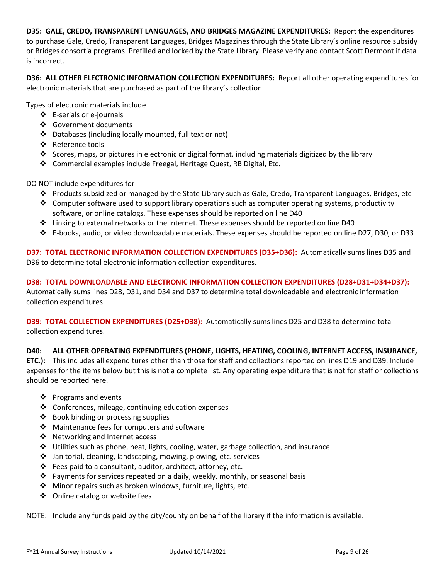**D35: GALE, CREDO, TRANSPARENT LANGUAGES, AND BRIDGES MAGAZINE EXPENDITURES:** Report the expenditures to purchase Gale, Credo, Transparent Languages, Bridges Magazines through the State Library's online resource subsidy or Bridges consortia programs. Prefilled and locked by the State Library. Please verify and contact Scott Dermont if data is incorrect.

**D36: ALL OTHER ELECTRONIC INFORMATION COLLECTION EXPENDITURES:** Report all other operating expenditures for electronic materials that are purchased as part of the library's collection.

Types of electronic materials include

- ❖ E-serials or e-journals
- ❖ Government documents
- ❖ Databases (including locally mounted, full text or not)
- ❖ Reference tools
- ❖ Scores, maps, or pictures in electronic or digital format, including materials digitized by the library
- ❖ Commercial examples include Freegal, Heritage Quest, RB Digital, Etc.

DO NOT include expenditures for

- ❖ Products subsidized or managed by the State Library such as Gale, Credo, Transparent Languages, Bridges, etc
- ❖ Computer software used to support library operations such as computer operating systems, productivity software, or online catalogs. These expenses should be reported on line D40
- $\div$  Linking to external networks or the Internet. These expenses should be reported on line D40
- ❖ E-books, audio, or video downloadable materials. These expenses should be reported on line D27, D30, or D33

**D37: TOTAL ELECTRONIC INFORMATION COLLECTION EXPENDITURES (D35+D36):** Automatically sums lines D35 and D36 to determine total electronic information collection expenditures.

**D38: TOTAL DOWNLOADABLE AND ELECTRONIC INFORMATION COLLECTION EXPENDITURES (D28+D31+D34+D37):**  Automatically sums lines D28, D31, and D34 and D37 to determine total downloadable and electronic information collection expenditures.

**D39: TOTAL COLLECTION EXPENDITURES (D25+D38):** Automatically sums lines D25 and D38 to determine total collection expenditures.

**D40: ALL OTHER OPERATING EXPENDITURES (PHONE, LIGHTS, HEATING, COOLING, INTERNET ACCESS, INSURANCE, ETC.):** This includes all expenditures other than those for staff and collections reported on lines D19 and D39. Include expenses for the items below but this is not a complete list. Any operating expenditure that is not for staff or collections should be reported here.

- ❖ Programs and events
- ❖ Conferences, mileage, continuing education expenses
- ❖ Book binding or processing supplies
- ❖ Maintenance fees for computers and software
- ❖ Networking and Internet access
- ❖ Utilities such as phone, heat, lights, cooling, water, garbage collection, and insurance
- ❖ Janitorial, cleaning, landscaping, mowing, plowing, etc. services
- ❖ Fees paid to a consultant, auditor, architect, attorney, etc.
- $\div$  Payments for services repeated on a daily, weekly, monthly, or seasonal basis
- ❖ Minor repairs such as broken windows, furniture, lights, etc.
- ❖ Online catalog or website fees

NOTE: Include any funds paid by the city/county on behalf of the library if the information is available.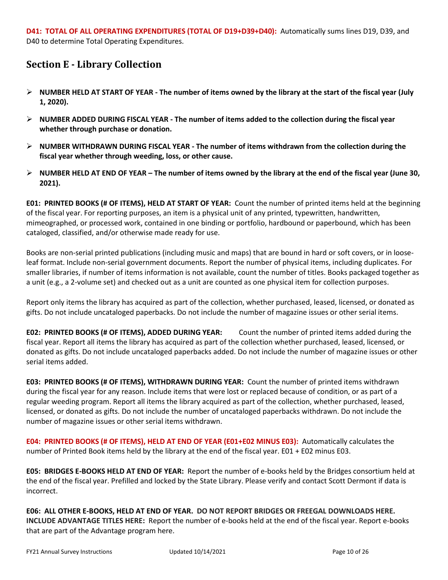## **Section E - Library Collection**

- ➢ **NUMBER HELD AT START OF YEAR - The number of items owned by the library at the start of the fiscal year (July 1, 2020).**
- ➢ **NUMBER ADDED DURING FISCAL YEAR - The number of items added to the collection during the fiscal year whether through purchase or donation.**
- ➢ **NUMBER WITHDRAWN DURING FISCAL YEAR - The number of items withdrawn from the collection during the fiscal year whether through weeding, loss, or other cause.**
- ➢ **NUMBER HELD AT END OF YEAR – The number of items owned by the library at the end of the fiscal year (June 30, 2021).**

**E01: PRINTED BOOKS (# OF ITEMS), HELD AT START OF YEAR:** Count the number of printed items held at the beginning of the fiscal year. For reporting purposes, an item is a physical unit of any printed, typewritten, handwritten, mimeographed, or processed work, contained in one binding or portfolio, hardbound or paperbound, which has been cataloged, classified, and/or otherwise made ready for use.

Books are non-serial printed publications (including music and maps) that are bound in hard or soft covers, or in looseleaf format. Include non-serial government documents. Report the number of physical items, including duplicates. For smaller libraries, if number of items information is not available, count the number of titles. Books packaged together as a unit (e.g., a 2-volume set) and checked out as a unit are counted as one physical item for collection purposes.

Report only items the library has acquired as part of the collection, whether purchased, leased, licensed, or donated as gifts. Do not include uncataloged paperbacks. Do not include the number of magazine issues or other serial items.

**E02: PRINTED BOOKS (# OF ITEMS), ADDED DURING YEAR:** Count the number of printed items added during the fiscal year. Report all items the library has acquired as part of the collection whether purchased, leased, licensed, or donated as gifts. Do not include uncataloged paperbacks added. Do not include the number of magazine issues or other serial items added.

**E03: PRINTED BOOKS (# OF ITEMS), WITHDRAWN DURING YEAR:** Count the number of printed items withdrawn during the fiscal year for any reason. Include items that were lost or replaced because of condition, or as part of a regular weeding program. Report all items the library acquired as part of the collection, whether purchased, leased, licensed, or donated as gifts. Do not include the number of uncataloged paperbacks withdrawn. Do not include the number of magazine issues or other serial items withdrawn.

**E04: PRINTED BOOKS (# OF ITEMS), HELD AT END OF YEAR (E01+E02 MINUS E03):** Automatically calculates the number of Printed Book items held by the library at the end of the fiscal year. E01 + E02 minus E03.

**E05: BRIDGES E-BOOKS HELD AT END OF YEAR:** Report the number of e-books held by the Bridges consortium held at the end of the fiscal year. Prefilled and locked by the State Library. Please verify and contact Scott Dermont if data is incorrect.

**E06: ALL OTHER E-BOOKS, HELD AT END OF YEAR. DO NOT REPORT BRIDGES OR FREEGAL DOWNLOADS HERE. INCLUDE ADVANTAGE TITLES HERE:** Report the number of e-books held at the end of the fiscal year. Report e-books that are part of the Advantage program here.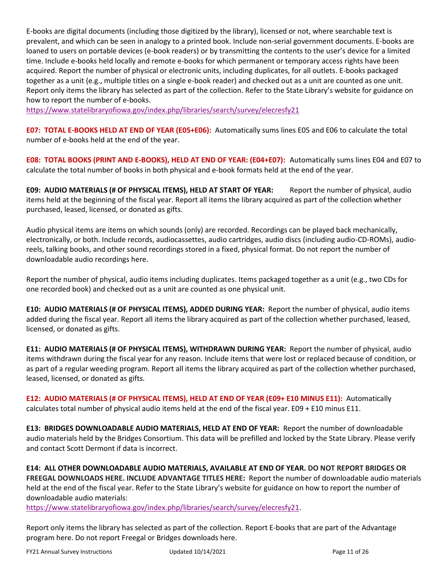E-books are digital documents (including those digitized by the library), licensed or not, where searchable text is prevalent, and which can be seen in analogy to a printed book. Include non-serial government documents. E-books are loaned to users on portable devices (e-book readers) or by transmitting the contents to the user's device for a limited time. Include e-books held locally and remote e-books for which permanent or temporary access rights have been acquired. Report the number of physical or electronic units, including duplicates, for all outlets. E-books packaged together as a unit (e.g., multiple titles on a single e-book reader) and checked out as a unit are counted as one unit. Report only items the library has selected as part of the collection. Refer to the State Library's website for guidance on how to report the number of e-books.

<https://www.statelibraryofiowa.gov/index.php/libraries/search/survey/elecresfy21>

**E07: TOTAL E-BOOKS HELD AT END OF YEAR (E05+E06):** Automatically sums lines E05 and E06 to calculate the total number of e-books held at the end of the year.

**E08: TOTAL BOOKS (PRINT AND E-BOOKS), HELD AT END OF YEAR: (E04+E07):** Automatically sums lines E04 and E07 to calculate the total number of books in both physical and e-book formats held at the end of the year.

**E09: AUDIO MATERIALS (# OF PHYSICAL ITEMS), HELD AT START OF YEAR:** Report the number of physical, audio items held at the beginning of the fiscal year. Report all items the library acquired as part of the collection whether purchased, leased, licensed, or donated as gifts.

Audio physical items are items on which sounds (only) are recorded. Recordings can be played back mechanically, electronically, or both. Include records, audiocassettes, audio cartridges, audio discs (including audio-CD-ROMs), audioreels, talking books, and other sound recordings stored in a fixed, physical format. Do not report the number of downloadable audio recordings here.

Report the number of physical, audio items including duplicates. Items packaged together as a unit (e.g., two CDs for one recorded book) and checked out as a unit are counted as one physical unit.

**E10: AUDIO MATERIALS (# OF PHYSICAL ITEMS), ADDED DURING YEAR:** Report the number of physical, audio items added during the fiscal year. Report all items the library acquired as part of the collection whether purchased, leased, licensed, or donated as gifts.

**E11: AUDIO MATERIALS (# OF PHYSICAL ITEMS), WITHDRAWN DURING YEAR:** Report the number of physical, audio items withdrawn during the fiscal year for any reason. Include items that were lost or replaced because of condition, or as part of a regular weeding program. Report all items the library acquired as part of the collection whether purchased, leased, licensed, or donated as gifts.

**E12: AUDIO MATERIALS (# OF PHYSICAL ITEMS), HELD AT END OF YEAR (E09+ E10 MINUS E11):** Automatically calculates total number of physical audio items held at the end of the fiscal year. E09 + E10 minus E11.

**E13: BRIDGES DOWNLOADABLE AUDIO MATERIALS, HELD AT END OF YEAR:** Report the number of downloadable audio materials held by the Bridges Consortium. This data will be prefilled and locked by the State Library. Please verify and contact Scott Dermont if data is incorrect.

**E14: ALL OTHER DOWNLOADABLE AUDIO MATERIALS, AVAILABLE AT END OF YEAR. DO NOT REPORT BRIDGES OR FREEGAL DOWNLOADS HERE. INCLUDE ADVANTAGE TITLES HERE:** Report the number of downloadable audio materials held at the end of the fiscal year. Refer to the State Library's website for guidance on how to report the number of downloadable audio materials:

[https://www.statelibraryofiowa.gov/index.php/libraries/search/survey/elecresfy21.](https://www.statelibraryofiowa.gov/index.php/libraries/search/survey/elecresfy21)

Report only items the library has selected as part of the collection. Report E-books that are part of the Advantage program here. Do not report Freegal or Bridges downloads here.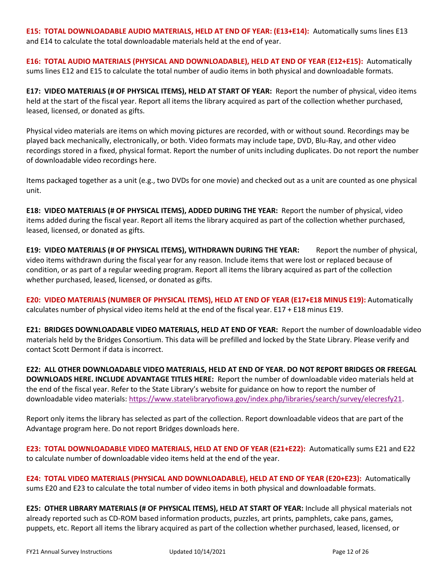**E15: TOTAL DOWNLOADABLE AUDIO MATERIALS, HELD AT END OF YEAR: (E13+E14):** Automatically sums lines E13 and E14 to calculate the total downloadable materials held at the end of year.

**E16: TOTAL AUDIO MATERIALS (PHYSICAL AND DOWNLOADABLE), HELD AT END OF YEAR (E12+E15):** Automatically sums lines E12 and E15 to calculate the total number of audio items in both physical and downloadable formats.

**E17: VIDEO MATERIALS (# OF PHYSICAL ITEMS), HELD AT START OF YEAR:** Report the number of physical, video items held at the start of the fiscal year. Report all items the library acquired as part of the collection whether purchased, leased, licensed, or donated as gifts.

Physical video materials are items on which moving pictures are recorded, with or without sound. Recordings may be played back mechanically, electronically, or both. Video formats may include tape, DVD, Blu-Ray, and other video recordings stored in a fixed, physical format. Report the number of units including duplicates. Do not report the number of downloadable video recordings here.

Items packaged together as a unit (e.g., two DVDs for one movie) and checked out as a unit are counted as one physical unit.

**E18: VIDEO MATERIALS (# OF PHYSICAL ITEMS), ADDED DURING THE YEAR:** Report the number of physical, video items added during the fiscal year. Report all items the library acquired as part of the collection whether purchased, leased, licensed, or donated as gifts.

**E19: VIDEO MATERIALS (# OF PHYSICAL ITEMS), WITHDRAWN DURING THE YEAR:** Report the number of physical, video items withdrawn during the fiscal year for any reason. Include items that were lost or replaced because of condition, or as part of a regular weeding program. Report all items the library acquired as part of the collection whether purchased, leased, licensed, or donated as gifts.

**E20: VIDEO MATERIALS (NUMBER OF PHYSICAL ITEMS), HELD AT END OF YEAR (E17+E18 MINUS E19):** Automatically calculates number of physical video items held at the end of the fiscal year. E17 + E18 minus E19.

**E21: BRIDGES DOWNLOADABLE VIDEO MATERIALS, HELD AT END OF YEAR:** Report the number of downloadable video materials held by the Bridges Consortium. This data will be prefilled and locked by the State Library. Please verify and contact Scott Dermont if data is incorrect.

**E22: ALL OTHER DOWNLOADABLE VIDEO MATERIALS, HELD AT END OF YEAR. DO NOT REPORT BRIDGES OR FREEGAL DOWNLOADS HERE. INCLUDE ADVANTAGE TITLES HERE:** Report the number of downloadable video materials held at the end of the fiscal year. Refer to the State Library's website for guidance on how to report the number of downloadable video materials: [https://www.statelibraryofiowa.gov/index.php/libraries/search/survey/elecresfy21.](https://www.statelibraryofiowa.gov/index.php/libraries/search/survey/elecresfy21)

Report only items the library has selected as part of the collection. Report downloadable videos that are part of the Advantage program here. Do not report Bridges downloads here.

**E23: TOTAL DOWNLOADABLE VIDEO MATERIALS, HELD AT END OF YEAR (E21+E22):** Automatically sums E21 and E22 to calculate number of downloadable video items held at the end of the year.

**E24: TOTAL VIDEO MATERIALS (PHYSICAL AND DOWNLOADABLE), HELD AT END OF YEAR (E20+E23):** Automatically sums E20 and E23 to calculate the total number of video items in both physical and downloadable formats.

**E25: OTHER LIBRARY MATERIALS (# OF PHYSICAL ITEMS), HELD AT START OF YEAR:** Include all physical materials not already reported such as CD-ROM based information products, puzzles, art prints, pamphlets, cake pans, games, puppets, etc. Report all items the library acquired as part of the collection whether purchased, leased, licensed, or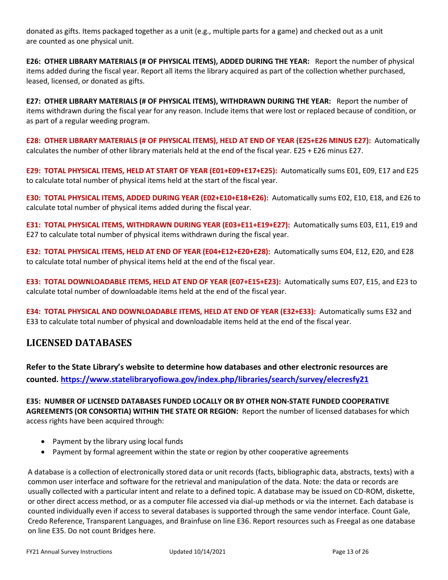donated as gifts. Items packaged together as a unit (e.g., multiple parts for a game) and checked out as a unit are counted as one physical unit.

**E26: OTHER LIBRARY MATERIALS (# OF PHYSICAL ITEMS), ADDED DURING THE YEAR:** Report the number of physical items added during the fiscal year. Report all items the library acquired as part of the collection whether purchased, leased, licensed, or donated as gifts.

**E27: OTHER LIBRARY MATERIALS (# OF PHYSICAL ITEMS), WITHDRAWN DURING THE YEAR:** Report the number of items withdrawn during the fiscal year for any reason. Include items that were lost or replaced because of condition, or as part of a regular weeding program.

**E28: OTHER LIBRARY MATERIALS (# OF PHYSICAL ITEMS), HELD AT END OF YEAR (E25+E26 MINUS E27):** Automatically calculates the number of other library materials held at the end of the fiscal year. E25 + E26 minus E27.

**E29: TOTAL PHYSICAL ITEMS, HELD AT START OF YEAR (E01+E09+E17+E25):** Automatically sums E01, E09, E17 and E25 to calculate total number of physical items held at the start of the fiscal year.

**E30: TOTAL PHYSICAL ITEMS, ADDED DURING YEAR (E02+E10+E18+E26):** Automatically sums E02, E10, E18, and E26 to calculate total number of physical items added during the fiscal year.

**E31: TOTAL PHYSICAL ITEMS, WITHDRAWN DURING YEAR (E03+E11+E19+E27):** Automatically sums E03, E11, E19 and E27 to calculate total number of physical items withdrawn during the fiscal year.

**E32: TOTAL PHYSICAL ITEMS, HELD AT END OF YEAR (E04+E12+E20+E28):** Automatically sums E04, E12, E20, and E28 to calculate total number of physical items held at the end of the fiscal year.

**E33: TOTAL DOWNLOADABLE ITEMS, HELD AT END OF YEAR (E07+E15+E23):** Automatically sums E07, E15, and E23 to calculate total number of downloadable items held at the end of the fiscal year.

**E34: TOTAL PHYSICAL AND DOWNLOADABLE ITEMS, HELD AT END OF YEAR (E32+E33):** Automatically sums E32 and E33 to calculate total number of physical and downloadable items held at the end of the fiscal year.

### **LICENSED DATABASES**

**Refer to the State Library's website to determine how databases and other electronic resources are counted.<https://www.statelibraryofiowa.gov/index.php/libraries/search/survey/elecresfy21>**

**E35: NUMBER OF LICENSED DATABASES FUNDED LOCALLY OR BY OTHER NON-STATE FUNDED COOPERATIVE AGREEMENTS (OR CONSORTIA) WITHIN THE STATE OR REGION:** Report the number of licensed databases for which access rights have been acquired through:

- Payment by the library using local funds
- Payment by formal agreement within the state or region by other cooperative agreements

A database is a collection of electronically stored data or unit records (facts, bibliographic data, abstracts, texts) with a common user interface and software for the retrieval and manipulation of the data. Note: the data or records are usually collected with a particular intent and relate to a defined topic. A database may be issued on CD-ROM, diskette, or other direct access method, or as a computer file accessed via dial-up methods or via the internet. Each database is counted individually even if access to several databases is supported through the same vendor interface. Count Gale, Credo Reference, Transparent Languages, and Brainfuse on line E36. Report resources such as Freegal as one database on line E35. Do not count Bridges here.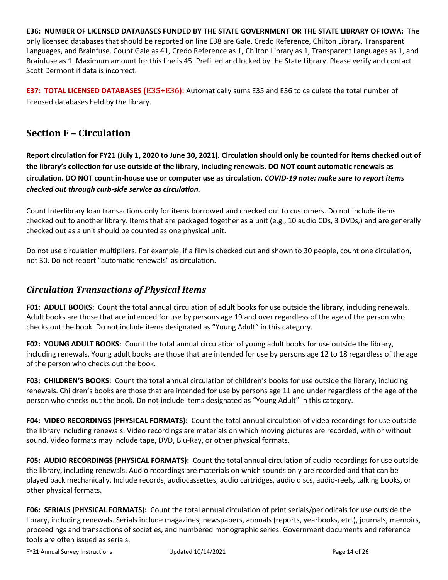**E36: NUMBER OF LICENSED DATABASES FUNDED BY THE STATE GOVERNMENT OR THE STATE LIBRARY OF IOWA:** The only licensed databases that should be reported on line E38 are Gale, Credo Reference, Chilton Library, Transparent Languages, and Brainfuse. Count Gale as 41, Credo Reference as 1, Chilton Library as 1, Transparent Languages as 1, and Brainfuse as 1. Maximum amount for this line is 45. Prefilled and locked by the State Library. Please verify and contact Scott Dermont if data is incorrect.

**E37: TOTAL LICENSED DATABASES (E35+E36):** Automatically sums E35 and E36 to calculate the total number of licensed databases held by the library.

## **Section F – Circulation**

**Report circulation for FY21 (July 1, 2020 to June 30, 2021). Circulation should only be counted for items checked out of the library's collection for use outside of the library, including renewals. DO NOT count automatic renewals as circulation. DO NOT count in-house use or computer use as circulation.** *COVID-19 note: make sure to report items checked out through curb-side service as circulation.*

Count Interlibrary loan transactions only for items borrowed and checked out to customers. Do not include items checked out to another library. Items that are packaged together as a unit (e.g., 10 audio CDs, 3 DVDs,) and are generally checked out as a unit should be counted as one physical unit.

Do not use circulation multipliers. For example, if a film is checked out and shown to 30 people, count one circulation, not 30. Do not report "automatic renewals" as circulation.

### *Circulation Transactions of Physical Items*

**F01: ADULT BOOKS:** Count the total annual circulation of adult books for use outside the library, including renewals. Adult books are those that are intended for use by persons age 19 and over regardless of the age of the person who checks out the book. Do not include items designated as "Young Adult" in this category.

**F02: YOUNG ADULT BOOKS:** Count the total annual circulation of young adult books for use outside the library, including renewals. Young adult books are those that are intended for use by persons age 12 to 18 regardless of the age of the person who checks out the book.

**F03: CHILDREN'S BOOKS:** Count the total annual circulation of children's books for use outside the library, including renewals. Children's books are those that are intended for use by persons age 11 and under regardless of the age of the person who checks out the book. Do not include items designated as "Young Adult" in this category.

**F04: VIDEO RECORDINGS (PHYSICAL FORMATS):** Count the total annual circulation of video recordings for use outside the library including renewals. Video recordings are materials on which moving pictures are recorded, with or without sound. Video formats may include tape, DVD, Blu-Ray, or other physical formats.

**F05: AUDIO RECORDINGS (PHYSICAL FORMATS):** Count the total annual circulation of audio recordings for use outside the library, including renewals. Audio recordings are materials on which sounds only are recorded and that can be played back mechanically. Include records, audiocassettes, audio cartridges, audio discs, audio-reels, talking books, or other physical formats.

**F06: SERIALS (PHYSICAL FORMATS):** Count the total annual circulation of print serials/periodicals for use outside the library, including renewals. Serials include magazines, newspapers, annuals (reports, yearbooks, etc.), journals, memoirs, proceedings and transactions of societies, and numbered monographic series. Government documents and reference tools are often issued as serials.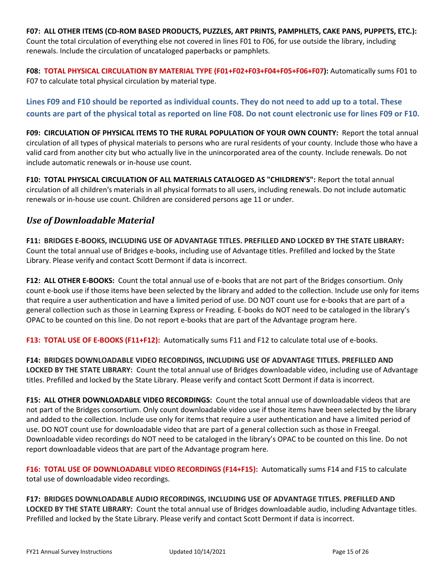**F07: ALL OTHER ITEMS (CD-ROM BASED PRODUCTS, PUZZLES, ART PRINTS, PAMPHLETS, CAKE PANS, PUPPETS, ETC.):**  Count the total circulation of everything else not covered in lines F01 to F06, for use outside the library, including renewals. Include the circulation of uncataloged paperbacks or pamphlets.

**F08: TOTAL PHYSICAL CIRCULATION BY MATERIAL TYPE (F01+F02+F03+F04+F05+F06+F07):** Automatically sums F01 to F07 to calculate total physical circulation by material type.

**Lines F09 and F10 should be reported as individual counts. They do not need to add up to a total. These counts are part of the physical total as reported on line F08. Do not count electronic use for lines F09 or F10.**

**F09: CIRCULATION OF PHYSICAL ITEMS TO THE RURAL POPULATION OF YOUR OWN COUNTY:** Report the total annual circulation of all types of physical materials to persons who are rural residents of your county. Include those who have a valid card from another city but who actually live in the unincorporated area of the county. Include renewals. Do not include automatic renewals or in-house use count.

**F10: TOTAL PHYSICAL CIRCULATION OF ALL MATERIALS CATALOGED AS "CHILDREN'S":** Report the total annual circulation of all children's materials in all physical formats to all users, including renewals. Do not include automatic renewals or in-house use count. Children are considered persons age 11 or under.

### *Use of Downloadable Material*

**F11: BRIDGES E-BOOKS, INCLUDING USE OF ADVANTAGE TITLES. PREFILLED AND LOCKED BY THE STATE LIBRARY:**  Count the total annual use of Bridges e-books, including use of Advantage titles. Prefilled and locked by the State Library. Please verify and contact Scott Dermont if data is incorrect.

**F12: ALL OTHER E-BOOKS:** Count the total annual use of e-books that are not part of the Bridges consortium. Only count e-book use if those items have been selected by the library and added to the collection. Include use only for items that require a user authentication and have a limited period of use. DO NOT count use for e-books that are part of a general collection such as those in Learning Express or Freading. E-books do NOT need to be cataloged in the library's OPAC to be counted on this line. Do not report e-books that are part of the Advantage program here.

**F13: TOTAL USE OF E-BOOKS (F11+F12):** Automatically sums F11 and F12 to calculate total use of e-books.

**F14: BRIDGES DOWNLOADABLE VIDEO RECORDINGS, INCLUDING USE OF ADVANTAGE TITLES. PREFILLED AND LOCKED BY THE STATE LIBRARY:** Count the total annual use of Bridges downloadable video, including use of Advantage titles. Prefilled and locked by the State Library. Please verify and contact Scott Dermont if data is incorrect.

**F15: ALL OTHER DOWNLOADABLE VIDEO RECORDINGS:** Count the total annual use of downloadable videos that are not part of the Bridges consortium. Only count downloadable video use if those items have been selected by the library and added to the collection. Include use only for items that require a user authentication and have a limited period of use. DO NOT count use for downloadable video that are part of a general collection such as those in Freegal. Downloadable video recordings do NOT need to be cataloged in the library's OPAC to be counted on this line. Do not report downloadable videos that are part of the Advantage program here.

**F16: TOTAL USE OF DOWNLOADABLE VIDEO RECORDINGS (F14+F15):** Automatically sums F14 and F15 to calculate total use of downloadable video recordings.

**F17: BRIDGES DOWNLOADABLE AUDIO RECORDINGS, INCLUDING USE OF ADVANTAGE TITLES. PREFILLED AND LOCKED BY THE STATE LIBRARY:** Count the total annual use of Bridges downloadable audio, including Advantage titles. Prefilled and locked by the State Library. Please verify and contact Scott Dermont if data is incorrect.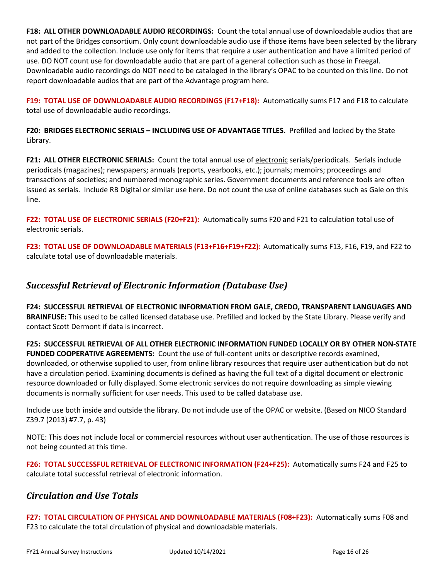**F18: ALL OTHER DOWNLOADABLE AUDIO RECORDINGS:** Count the total annual use of downloadable audios that are not part of the Bridges consortium. Only count downloadable audio use if those items have been selected by the library and added to the collection. Include use only for items that require a user authentication and have a limited period of use. DO NOT count use for downloadable audio that are part of a general collection such as those in Freegal. Downloadable audio recordings do NOT need to be cataloged in the library's OPAC to be counted on this line. Do not report downloadable audios that are part of the Advantage program here.

**F19: TOTAL USE OF DOWNLOADABLE AUDIO RECORDINGS (F17+F18):** Automatically sums F17 and F18 to calculate total use of downloadable audio recordings.

**F20: BRIDGES ELECTRONIC SERIALS – INCLUDING USE OF ADVANTAGE TITLES.** Prefilled and locked by the State Library.

**F21: ALL OTHER ELECTRONIC SERIALS:** Count the total annual use of electronic serials/periodicals. Serials include periodicals (magazines); newspapers; annuals (reports, yearbooks, etc.); journals; memoirs; proceedings and transactions of societies; and numbered monographic series. Government documents and reference tools are often issued as serials. Include RB Digital or similar use here. Do not count the use of online databases such as Gale on this line.

**F22: TOTAL USE OF ELECTRONIC SERIALS (F20+F21):** Automatically sums F20 and F21 to calculation total use of electronic serials.

**F23: TOTAL USE OF DOWNLOADABLE MATERIALS (F13+F16+F19+F22):** Automatically sums F13, F16, F19, and F22 to calculate total use of downloadable materials.

### *Successful Retrieval of Electronic Information (Database Use)*

**F24: SUCCESSFUL RETRIEVAL OF ELECTRONIC INFORMATION FROM GALE, CREDO, TRANSPARENT LANGUAGES AND BRAINFUSE:** This used to be called licensed database use. Prefilled and locked by the State Library. Please verify and contact Scott Dermont if data is incorrect.

**F25: SUCCESSFUL RETRIEVAL OF ALL OTHER ELECTRONIC INFORMATION FUNDED LOCALLY OR BY OTHER NON-STATE FUNDED COOPERATIVE AGREEMENTS:** Count the use of full-content units or descriptive records examined, downloaded, or otherwise supplied to user, from online library resources that require user authentication but do not have a circulation period. Examining documents is defined as having the full text of a digital document or electronic resource downloaded or fully displayed. Some electronic services do not require downloading as simple viewing documents is normally sufficient for user needs. This used to be called database use.

Include use both inside and outside the library. Do not include use of the OPAC or website. (Based on NICO Standard Z39.7 (2013) #7.7, p. 43)

NOTE: This does not include local or commercial resources without user authentication. The use of those resources is not being counted at this time.

**F26: TOTAL SUCCESSFUL RETRIEVAL OF ELECTRONIC INFORMATION (F24+F25):** Automatically sums F24 and F25 to calculate total successful retrieval of electronic information.

### *Circulation and Use Totals*

**F27: TOTAL CIRCULATION OF PHYSICAL AND DOWNLOADABLE MATERIALS (F08+F23):** Automatically sums F08 and F23 to calculate the total circulation of physical and downloadable materials.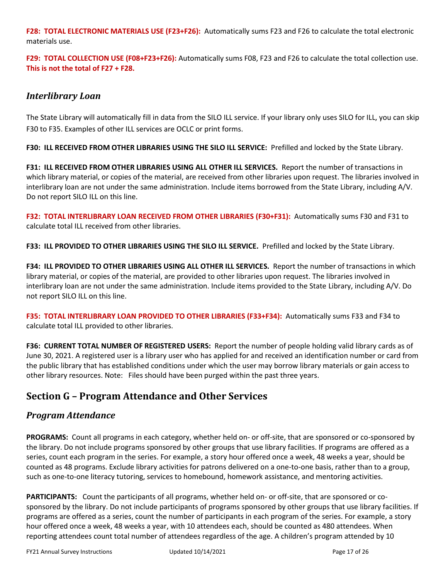**F28: TOTAL ELECTRONIC MATERIALS USE (F23+F26):** Automatically sums F23 and F26 to calculate the total electronic materials use.

**F29: TOTAL COLLECTION USE (F08+F23+F26):** Automatically sums F08, F23 and F26 to calculate the total collection use. **This is not the total of F27 + F28.** 

### *Interlibrary Loan*

The State Library will automatically fill in data from the SILO ILL service. If your library only uses SILO for ILL, you can skip F30 to F35. Examples of other ILL services are OCLC or print forms.

**F30: ILL RECEIVED FROM OTHER LIBRARIES USING THE SILO ILL SERVICE:** Prefilled and locked by the State Library.

**F31: ILL RECEIVED FROM OTHER LIBRARIES USING ALL OTHER ILL SERVICES.** Report the number of transactions in which library material, or copies of the material, are received from other libraries upon request. The libraries involved in interlibrary loan are not under the same administration. Include items borrowed from the State Library, including A/V. Do not report SILO ILL on this line.

**F32: TOTAL INTERLIBRARY LOAN RECEIVED FROM OTHER LIBRARIES (F30+F31):** Automatically sums F30 and F31 to calculate total ILL received from other libraries.

**F33: ILL PROVIDED TO OTHER LIBRARIES USING THE SILO ILL SERVICE.** Prefilled and locked by the State Library.

**F34: ILL PROVIDED TO OTHER LIBRARIES USING ALL OTHER ILL SERVICES.** Report the number of transactions in which library material, or copies of the material, are provided to other libraries upon request. The libraries involved in interlibrary loan are not under the same administration. Include items provided to the State Library, including A/V. Do not report SILO ILL on this line.

**F35: TOTAL INTERLIBRARY LOAN PROVIDED TO OTHER LIBRARIES (F33+F34):** Automatically sums F33 and F34 to calculate total ILL provided to other libraries.

**F36: CURRENT TOTAL NUMBER OF REGISTERED USERS:** Report the number of people holding valid library cards as of June 30, 2021. A registered user is a library user who has applied for and received an identification number or card from the public library that has established conditions under which the user may borrow library materials or gain access to other library resources. Note: Files should have been purged within the past three years.

## **Section G – Program Attendance and Other Services**

### *Program Attendance*

**PROGRAMS:** Count all programs in each category, whether held on- or off-site, that are sponsored or co-sponsored by the library. Do not include programs sponsored by other groups that use library facilities. If programs are offered as a series, count each program in the series. For example, a story hour offered once a week, 48 weeks a year, should be counted as 48 programs. Exclude library activities for patrons delivered on a one-to-one basis, rather than to a group, such as one-to-one literacy tutoring, services to homebound, homework assistance, and mentoring activities.

**PARTICIPANTS:** Count the participants of all programs, whether held on- or off-site, that are sponsored or cosponsored by the library. Do not include participants of programs sponsored by other groups that use library facilities. If programs are offered as a series, count the number of participants in each program of the series. For example, a story hour offered once a week, 48 weeks a year, with 10 attendees each, should be counted as 480 attendees. When reporting attendees count total number of attendees regardless of the age. A children's program attended by 10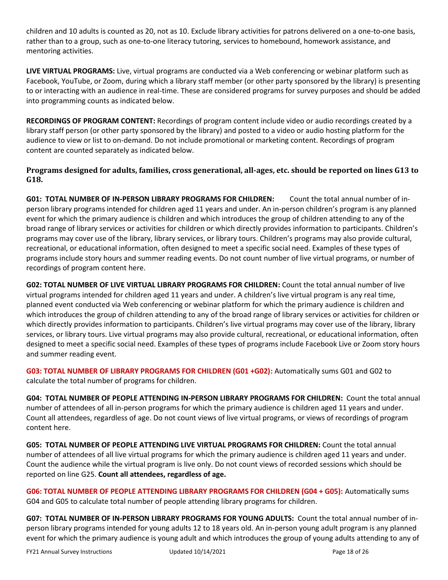children and 10 adults is counted as 20, not as 10. Exclude library activities for patrons delivered on a one-to-one basis, rather than to a group, such as one-to-one literacy tutoring, services to homebound, homework assistance, and mentoring activities.

**LIVE VIRTUAL PROGRAMS:** Live, virtual programs are conducted via a Web conferencing or webinar platform such as Facebook, YouTube, or Zoom, during which a library staff member (or other party sponsored by the library) is presenting to or interacting with an audience in real-time. These are considered programs for survey purposes and should be added into programming counts as indicated below.

**RECORDINGS OF PROGRAM CONTENT:** Recordings of program content include video or audio recordings created by a library staff person (or other party sponsored by the library) and posted to a video or audio hosting platform for the audience to view or list to on-demand. Do not include promotional or marketing content. Recordings of program content are counted separately as indicated below.

### **Programs designed for adults, families, cross generational, all-ages, etc. should be reported on lines G13 to G18.**

**G01: TOTAL NUMBER OF IN-PERSON LIBRARY PROGRAMS FOR CHILDREN:** Count the total annual number of inperson library programs intended for children aged 11 years and under. An in-person children's program is any planned event for which the primary audience is children and which introduces the group of children attending to any of the broad range of library services or activities for children or which directly provides information to participants. Children's programs may cover use of the library, library services, or library tours. Children's programs may also provide cultural, recreational, or educational information, often designed to meet a specific social need. Examples of these types of programs include story hours and summer reading events. Do not count number of live virtual programs, or number of recordings of program content here.

**G02: TOTAL NUMBER OF LIVE VIRTUAL LIBRARY PROGRAMS FOR CHILDREN:** Count the total annual number of live virtual programs intended for children aged 11 years and under. A children's live virtual program is any real time, planned event conducted via Web conferencing or webinar platform for which the primary audience is children and which introduces the group of children attending to any of the broad range of library services or activities for children or which directly provides information to participants. Children's live virtual programs may cover use of the library, library services, or library tours. Live virtual programs may also provide cultural, recreational, or educational information, often designed to meet a specific social need. Examples of these types of programs include Facebook Live or Zoom story hours and summer reading event.

**G03: TOTAL NUMBER OF LIBRARY PROGRAMS FOR CHILDREN (G01 +G02):** Automatically sums G01 and G02 to calculate the total number of programs for children.

**G04: TOTAL NUMBER OF PEOPLE ATTENDING IN-PERSON LIBRARY PROGRAMS FOR CHILDREN:** Count the total annual number of attendees of all in-person programs for which the primary audience is children aged 11 years and under. Count all attendees, regardless of age. Do not count views of live virtual programs, or views of recordings of program content here.

**G05: TOTAL NUMBER OF PEOPLE ATTENDING LIVE VIRTUAL PROGRAMS FOR CHILDREN:** Count the total annual number of attendees of all live virtual programs for which the primary audience is children aged 11 years and under. Count the audience while the virtual program is live only. Do not count views of recorded sessions which should be reported on line G25. **Count all attendees, regardless of age.**

**G06: TOTAL NUMBER OF PEOPLE ATTENDING LIBRARY PROGRAMS FOR CHILDREN (G04 + G05):** Automatically sums G04 and G05 to calculate total number of people attending library programs for children.

**G07: TOTAL NUMBER OF IN-PERSON LIBRARY PROGRAMS FOR YOUNG ADULTS:** Count the total annual number of inperson library programs intended for young adults 12 to 18 years old. An in-person young adult program is any planned event for which the primary audience is young adult and which introduces the group of young adults attending to any of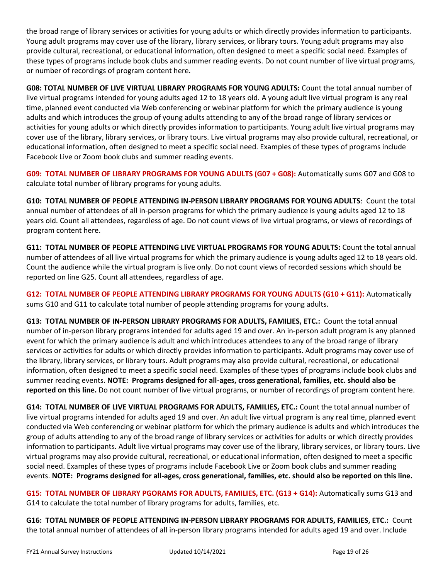the broad range of library services or activities for young adults or which directly provides information to participants. Young adult programs may cover use of the library, library services, or library tours. Young adult programs may also provide cultural, recreational, or educational information, often designed to meet a specific social need. Examples of these types of programs include book clubs and summer reading events. Do not count number of live virtual programs, or number of recordings of program content here.

**G08: TOTAL NUMBER OF LIVE VIRTUAL LIBRARY PROGRAMS FOR YOUNG ADULTS:** Count the total annual number of live virtual programs intended for young adults aged 12 to 18 years old. A young adult live virtual program is any real time, planned event conducted via Web conferencing or webinar platform for which the primary audience is young adults and which introduces the group of young adults attending to any of the broad range of library services or activities for young adults or which directly provides information to participants. Young adult live virtual programs may cover use of the library, library services, or library tours. Live virtual programs may also provide cultural, recreational, or educational information, often designed to meet a specific social need. Examples of these types of programs include Facebook Live or Zoom book clubs and summer reading events.

**G09: TOTAL NUMBER OF LIBRARY PROGRAMS FOR YOUNG ADULTS (G07 + G08):** Automatically sums G07 and G08 to calculate total number of library programs for young adults.

**G10: TOTAL NUMBER OF PEOPLE ATTENDING IN-PERSON LIBRARY PROGRAMS FOR YOUNG ADULTS**: Count the total annual number of attendees of all in-person programs for which the primary audience is young adults aged 12 to 18 years old. Count all attendees, regardless of age. Do not count views of live virtual programs, or views of recordings of program content here.

**G11: TOTAL NUMBER OF PEOPLE ATTENDING LIVE VIRTUAL PROGRAMS FOR YOUNG ADULTS:** Count the total annual number of attendees of all live virtual programs for which the primary audience is young adults aged 12 to 18 years old. Count the audience while the virtual program is live only. Do not count views of recorded sessions which should be reported on line G25. Count all attendees, regardless of age.

**G12: TOTAL NUMBER OF PEOPLE ATTENDING LIBRARY PROGRAMS FOR YOUNG ADULTS (G10 + G11):** Automatically sums G10 and G11 to calculate total number of people attending programs for young adults.

**G13: TOTAL NUMBER OF IN-PERSON LIBRARY PROGRAMS FOR ADULTS, FAMILIES, ETC.:** Count the total annual number of in-person library programs intended for adults aged 19 and over. An in-person adult program is any planned event for which the primary audience is adult and which introduces attendees to any of the broad range of library services or activities for adults or which directly provides information to participants. Adult programs may cover use of the library, library services, or library tours. Adult programs may also provide cultural, recreational, or educational information, often designed to meet a specific social need. Examples of these types of programs include book clubs and summer reading events. **NOTE: Programs designed for all-ages, cross generational, families, etc. should also be reported on this line.** Do not count number of live virtual programs, or number of recordings of program content here.

**G14: TOTAL NUMBER OF LIVE VIRTUAL PROGRAMS FOR ADULTS, FAMILIES, ETC.:** Count the total annual number of live virtual programs intended for adults aged 19 and over. An adult live virtual program is any real time, planned event conducted via Web conferencing or webinar platform for which the primary audience is adults and which introduces the group of adults attending to any of the broad range of library services or activities for adults or which directly provides information to participants. Adult live virtual programs may cover use of the library, library services, or library tours. Live virtual programs may also provide cultural, recreational, or educational information, often designed to meet a specific social need. Examples of these types of programs include Facebook Live or Zoom book clubs and summer reading events. **NOTE: Programs designed for all-ages, cross generational, families, etc. should also be reported on this line.**

**G15: TOTAL NUMBER OF LIBRARY PGORAMS FOR ADULTS, FAMILIES, ETC. (G13 + G14):** Automatically sums G13 and G14 to calculate the total number of library programs for adults, families, etc.

**G16: TOTAL NUMBER OF PEOPLE ATTENDING IN-PERSON LIBRARY PROGRAMS FOR ADULTS, FAMILIES, ETC.:** Count the total annual number of attendees of all in-person library programs intended for adults aged 19 and over. Include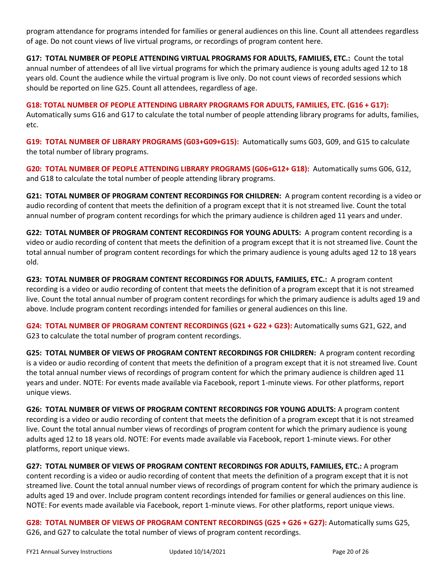program attendance for programs intended for families or general audiences on this line. Count all attendees regardless of age. Do not count views of live virtual programs, or recordings of program content here.

**G17: TOTAL NUMBER OF PEOPLE ATTENDING VIRTUAL PROGRAMS FOR ADULTS, FAMILIES, ETC.:** Count the total annual number of attendees of all live virtual programs for which the primary audience is young adults aged 12 to 18 years old. Count the audience while the virtual program is live only. Do not count views of recorded sessions which should be reported on line G25. Count all attendees, regardless of age.

**G18: TOTAL NUMBER OF PEOPLE ATTENDING LIBRARY PROGRAMS FOR ADULTS, FAMILIES, ETC. (G16 + G17):**  Automatically sums G16 and G17 to calculate the total number of people attending library programs for adults, families, etc.

**G19: TOTAL NUMBER OF LIBRARY PROGRAMS (G03+G09+G15):** Automatically sums G03, G09, and G15 to calculate the total number of library programs.

**G20: TOTAL NUMBER OF PEOPLE ATTENDING LIBRARY PROGRAMS (G06+G12+ G18):** Automatically sums G06, G12, and G18 to calculate the total number of people attending library programs.

**G21: TOTAL NUMBER OF PROGRAM CONTENT RECORDINGS FOR CHILDREN:** A program content recording is a video or audio recording of content that meets the definition of a program except that it is not streamed live. Count the total annual number of program content recordings for which the primary audience is children aged 11 years and under.

**G22: TOTAL NUMBER OF PROGRAM CONTENT RECORDINGS FOR YOUNG ADULTS:** A program content recording is a video or audio recording of content that meets the definition of a program except that it is not streamed live. Count the total annual number of program content recordings for which the primary audience is young adults aged 12 to 18 years old.

**G23: TOTAL NUMBER OF PROGRAM CONTENT RECORDINGS FOR ADULTS, FAMILIES, ETC.:** A program content recording is a video or audio recording of content that meets the definition of a program except that it is not streamed live. Count the total annual number of program content recordings for which the primary audience is adults aged 19 and above. Include program content recordings intended for families or general audiences on this line.

**G24: TOTAL NUMBER OF PROGRAM CONTENT RECORDINGS (G21 + G22 + G23):** Automatically sums G21, G22, and G23 to calculate the total number of program content recordings.

**G25: TOTAL NUMBER OF VIEWS OF PROGRAM CONTENT RECORDINGS FOR CHILDREN:** A program content recording is a video or audio recording of content that meets the definition of a program except that it is not streamed live. Count the total annual number views of recordings of program content for which the primary audience is children aged 11 years and under. NOTE: For events made available via Facebook, report 1-minute views. For other platforms, report unique views.

**G26: TOTAL NUMBER OF VIEWS OF PROGRAM CONTENT RECORDINGS FOR YOUNG ADULTS:** A program content recording is a video or audio recording of content that meets the definition of a program except that it is not streamed live. Count the total annual number views of recordings of program content for which the primary audience is young adults aged 12 to 18 years old. NOTE: For events made available via Facebook, report 1-minute views. For other platforms, report unique views.

**G27: TOTAL NUMBER OF VIEWS OF PROGRAM CONTENT RECORDINGS FOR ADULTS, FAMILIES, ETC.:** A program content recording is a video or audio recording of content that meets the definition of a program except that it is not streamed live. Count the total annual number views of recordings of program content for which the primary audience is adults aged 19 and over. Include program content recordings intended for families or general audiences on this line. NOTE: For events made available via Facebook, report 1-minute views. For other platforms, report unique views.

**G28: TOTAL NUMBER OF VIEWS OF PROGRAM CONTENT RECORDINGS (G25 + G26 + G27):** Automatically sums G25, G26, and G27 to calculate the total number of views of program content recordings.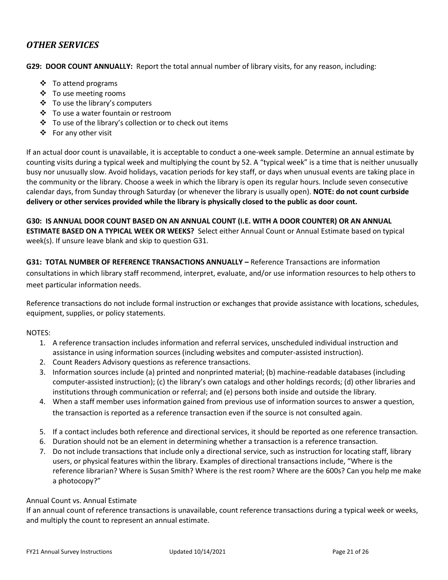### *OTHER SERVICES*

**G29: DOOR COUNT ANNUALLY:** Report the total annual number of library visits, for any reason, including:

- ❖ To attend programs
- ❖ To use meeting rooms
- ❖ To use the library's computers
- ❖ To use a water fountain or restroom
- ❖ To use of the library's collection or to check out items
- ❖ For any other visit

If an actual door count is unavailable, it is acceptable to conduct a one-week sample. Determine an annual estimate by counting visits during a typical week and multiplying the count by 52. A "typical week" is a time that is neither unusually busy nor unusually slow. Avoid holidays, vacation periods for key staff, or days when unusual events are taking place in the community or the library. Choose a week in which the library is open its regular hours. Include seven consecutive calendar days, from Sunday through Saturday (or whenever the library is usually open). **NOTE: do not count curbside delivery or other services provided while the library is physically closed to the public as door count.**

**G30: IS ANNUAL DOOR COUNT BASED ON AN ANNUAL COUNT (I.E. WITH A DOOR COUNTER) OR AN ANNUAL ESTIMATE BASED ON A TYPICAL WEEK OR WEEKS?** Select either Annual Count or Annual Estimate based on typical week(s). If unsure leave blank and skip to question G31.

**G31: TOTAL NUMBER OF REFERENCE TRANSACTIONS ANNUALLY –** Reference Transactions are information consultations in which library staff recommend, interpret, evaluate, and/or use information resources to help others to meet particular information needs.

Reference transactions do not include formal instruction or exchanges that provide assistance with locations, schedules, equipment, supplies, or policy statements.

### NOTES:

- 1. A reference transaction includes information and referral services, unscheduled individual instruction and assistance in using information sources (including websites and computer-assisted instruction).
- 2. Count Readers Advisory questions as reference transactions.
- 3. Information sources include (a) printed and nonprinted material; (b) machine-readable databases (including computer-assisted instruction); (c) the library's own catalogs and other holdings records; (d) other libraries and institutions through communication or referral; and (e) persons both inside and outside the library.
- 4. When a staff member uses information gained from previous use of information sources to answer a question, the transaction is reported as a reference transaction even if the source is not consulted again.
- 5. If a contact includes both reference and directional services, it should be reported as one reference transaction.
- 6. Duration should not be an element in determining whether a transaction is a reference transaction.
- 7. Do not include transactions that include only a directional service, such as instruction for locating staff, library users, or physical features within the library. Examples of directional transactions include, "Where is the reference librarian? Where is Susan Smith? Where is the rest room? Where are the 600s? Can you help me make a photocopy?"

#### Annual Count vs. Annual Estimate

If an annual count of reference transactions is unavailable, count reference transactions during a typical week or weeks, and multiply the count to represent an annual estimate.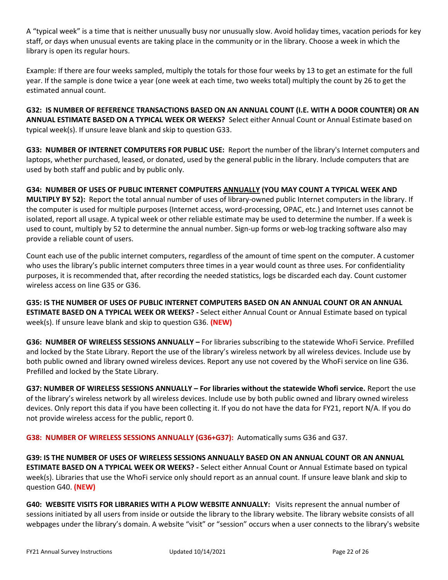A "typical week" is a time that is neither unusually busy nor unusually slow. Avoid holiday times, vacation periods for key staff, or days when unusual events are taking place in the community or in the library. Choose a week in which the library is open its regular hours.

Example: If there are four weeks sampled, multiply the totals for those four weeks by 13 to get an estimate for the full year. If the sample is done twice a year (one week at each time, two weeks total) multiply the count by 26 to get the estimated annual count.

**G32: IS NUMBER OF REFERENCE TRANSACTIONS BASED ON AN ANNUAL COUNT (I.E. WITH A DOOR COUNTER) OR AN ANNUAL ESTIMATE BASED ON A TYPICAL WEEK OR WEEKS?** Select either Annual Count or Annual Estimate based on typical week(s). If unsure leave blank and skip to question G33.

**G33: NUMBER OF INTERNET COMPUTERS FOR PUBLIC USE:** Report the number of the library's Internet computers and laptops, whether purchased, leased, or donated, used by the general public in the library. Include computers that are used by both staff and public and by public only.

**G34: NUMBER OF USES OF PUBLIC INTERNET COMPUTERS ANNUALLY (YOU MAY COUNT A TYPICAL WEEK AND MULTIPLY BY 52):** Report the total annual number of uses of library-owned public Internet computers in the library. If the computer is used for multiple purposes (Internet access, word-processing, OPAC, etc.) and Internet uses cannot be isolated, report all usage. A typical week or other reliable estimate may be used to determine the number. If a week is used to count, multiply by 52 to determine the annual number. Sign-up forms or web-log tracking software also may provide a reliable count of users.

Count each use of the public internet computers, regardless of the amount of time spent on the computer. A customer who uses the library's public internet computers three times in a year would count as three uses. For confidentiality purposes, it is recommended that, after recording the needed statistics, logs be discarded each day. Count customer wireless access on line G35 or G36.

**G35: IS THE NUMBER OF USES OF PUBLIC INTERNET COMPUTERS BASED ON AN ANNUAL COUNT OR AN ANNUAL ESTIMATE BASED ON A TYPICAL WEEK OR WEEKS? -** Select either Annual Count or Annual Estimate based on typical week(s). If unsure leave blank and skip to question G36. **(NEW)**

**G36: NUMBER OF WIRELESS SESSIONS ANNUALLY –** For libraries subscribing to the statewide WhoFi Service. Prefilled and locked by the State Library. Report the use of the library's wireless network by all wireless devices. Include use by both public owned and library owned wireless devices. Report any use not covered by the WhoFi service on line G36. Prefilled and locked by the State Library.

**G37: NUMBER OF WIRELESS SESSIONS ANNUALLY – For libraries without the statewide Whofi service.** Report the use of the library's wireless network by all wireless devices. Include use by both public owned and library owned wireless devices. Only report this data if you have been collecting it. If you do not have the data for FY21, report N/A. If you do not provide wireless access for the public, report 0.

**G38: NUMBER OF WIRELESS SESSIONS ANNUALLY (G36+G37):** Automatically sums G36 and G37.

**G39: IS THE NUMBER OF USES OF WIRELESS SESSIONS ANNUALLY BASED ON AN ANNUAL COUNT OR AN ANNUAL ESTIMATE BASED ON A TYPICAL WEEK OR WEEKS? -** Select either Annual Count or Annual Estimate based on typical week(s). Libraries that use the WhoFi service only should report as an annual count. If unsure leave blank and skip to question G40. **(NEW)**

**G40: WEBSITE VISITS FOR LIBRARIES WITH A PLOW WEBSITE ANNUALLY:** Visits represent the annual number of sessions initiated by all users from inside or outside the library to the library website. The library website consists of all webpages under the library's domain. A website "visit" or "session" occurs when a user connects to the library's website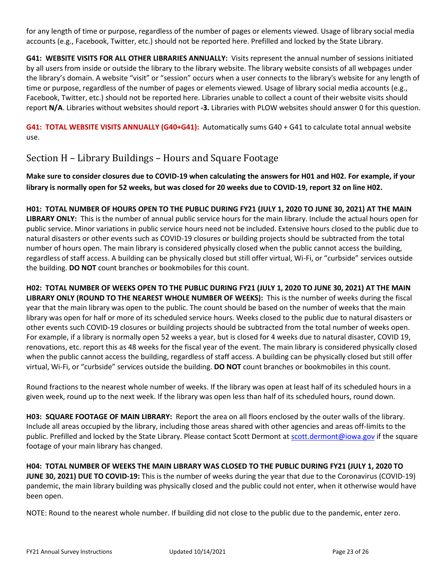for any length of time or purpose, regardless of the number of pages or elements viewed. Usage of library social media accounts (e.g., Facebook, Twitter, etc.) should not be reported here. Prefilled and locked by the State Library.

**G41: WEBSITE VISITS FOR ALL OTHER LIBRARIES ANNUALLY:** Visits represent the annual number of sessions initiated by all users from inside or outside the library to the library website. The library website consists of all webpages under the library's domain. A website "visit" or "session" occurs when a user connects to the library's website for any length of time or purpose, regardless of the number of pages or elements viewed. Usage of library social media accounts (e.g., Facebook, Twitter, etc.) should not be reported here. Libraries unable to collect a count of their website visits should report **N/A**. Libraries without websites should report **-3.** Libraries with PLOW websites should answer 0 for this question.

**G41: TOTAL WEBSITE VISITS ANNUALLY (G40+G41):** Automatically sums G40 + G41 to calculate total annual website use.

## Section H – Library Buildings – Hours and Square Footage

**Make sure to consider closures due to COVID-19 when calculating the answers for H01 and H02. For example, if your library is normally open for 52 weeks, but was closed for 20 weeks due to COVID-19, report 32 on line H02.** 

**H01: TOTAL NUMBER OF HOURS OPEN TO THE PUBLIC DURING FY21 (JULY 1, 2020 TO JUNE 30, 2021) AT THE MAIN LIBRARY ONLY:** This is the number of annual public service hours for the main library. Include the actual hours open for public service. Minor variations in public service hours need not be included. Extensive hours closed to the public due to natural disasters or other events such as COVID-19 closures or building projects should be subtracted from the total number of hours open. The main library is considered physically closed when the public cannot access the building, regardless of staff access. A building can be physically closed but still offer virtual, Wi-Fi, or "curbside" services outside the building. **DO NOT** count branches or bookmobiles for this count.

**H02: TOTAL NUMBER OF WEEKS OPEN TO THE PUBLIC DURING FY21 (JULY 1, 2020 TO JUNE 30, 2021) AT THE MAIN LIBRARY ONLY (ROUND TO THE NEAREST WHOLE NUMBER OF WEEKS):** This is the number of weeks during the fiscal year that the main library was open to the public. The count should be based on the number of weeks that the main library was open for half or more of its scheduled service hours. Weeks closed to the public due to natural disasters or other events such COVID-19 closures or building projects should be subtracted from the total number of weeks open. For example, if a library is normally open 52 weeks a year, but is closed for 4 weeks due to natural disaster, COVID 19, renovations, etc. report this as 48 weeks for the fiscal year of the event. The main library is considered physically closed when the public cannot access the building, regardless of staff access. A building can be physically closed but still offer virtual, Wi-Fi, or "curbside" services outside the building. **DO NOT** count branches or bookmobiles in this count.

Round fractions to the nearest whole number of weeks. If the library was open at least half of its scheduled hours in a given week, round up to the next week. If the library was open less than half of its scheduled hours, round down.

**H03: SQUARE FOOTAGE OF MAIN LIBRARY:** Report the area on all floors enclosed by the outer walls of the library. Include all areas occupied by the library, including those areas shared with other agencies and areas off-limits to the public. Prefilled and locked by the State Library. Please contact Scott Dermont at [scott.dermont@iowa.gov](mailto:scott.dermont@iowa.gov) if the square footage of your main library has changed.

**H04: TOTAL NUMBER OF WEEKS THE MAIN LIBRARY WAS CLOSED TO THE PUBLIC DURING FY21 (JULY 1, 2020 TO JUNE 30, 2021) DUE TO COVID-19:** This is the number of weeks during the year that due to the Coronavirus (COVID-19) pandemic, the main library building was physically closed and the public could not enter, when it otherwise would have been open.

NOTE: Round to the nearest whole number. If building did not close to the public due to the pandemic, enter zero.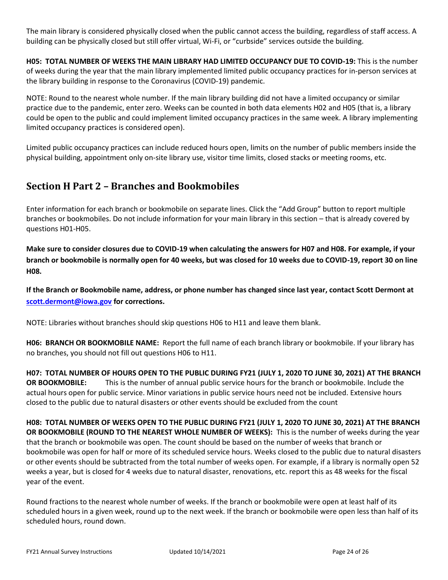The main library is considered physically closed when the public cannot access the building, regardless of staff access. A building can be physically closed but still offer virtual, Wi-Fi, or "curbside" services outside the building.

**H05: TOTAL NUMBER OF WEEKS THE MAIN LIBRARY HAD LIMITED OCCUPANCY DUE TO COVID-19:** This is the number of weeks during the year that the main library implemented limited public occupancy practices for in-person services at the library building in response to the Coronavirus (COVID-19) pandemic.

NOTE: Round to the nearest whole number. If the main library building did not have a limited occupancy or similar practice due to the pandemic, enter zero. Weeks can be counted in both data elements H02 and H05 (that is, a library could be open to the public and could implement limited occupancy practices in the same week. A library implementing limited occupancy practices is considered open).

Limited public occupancy practices can include reduced hours open, limits on the number of public members inside the physical building, appointment only on-site library use, visitor time limits, closed stacks or meeting rooms, etc.

## **Section H Part 2 – Branches and Bookmobiles**

Enter information for each branch or bookmobile on separate lines. Click the "Add Group" button to report multiple branches or bookmobiles. Do not include information for your main library in this section – that is already covered by questions H01-H05.

**Make sure to consider closures due to COVID-19 when calculating the answers for H07 and H08. For example, if your branch or bookmobile is normally open for 40 weeks, but was closed for 10 weeks due to COVID-19, report 30 on line H08.** 

**If the Branch or Bookmobile name, address, or phone number has changed since last year, contact Scott Dermont at [scott.dermont@iowa.gov](mailto:scott.dermont@iowa.gov) for corrections.**

NOTE: Libraries without branches should skip questions H06 to H11 and leave them blank.

**H06: BRANCH OR BOOKMOBILE NAME:** Report the full name of each branch library or bookmobile. If your library has no branches, you should not fill out questions H06 to H11.

**H07: TOTAL NUMBER OF HOURS OPEN TO THE PUBLIC DURING FY21 (JULY 1, 2020 TO JUNE 30, 2021) AT THE BRANCH OR BOOKMOBILE:** This is the number of annual public service hours for the branch or bookmobile. Include the actual hours open for public service. Minor variations in public service hours need not be included. Extensive hours closed to the public due to natural disasters or other events should be excluded from the count

**H08: TOTAL NUMBER OF WEEKS OPEN TO THE PUBLIC DURING FY21 (JULY 1, 2020 TO JUNE 30, 2021) AT THE BRANCH OR BOOKMOBILE (ROUND TO THE NEAREST WHOLE NUMBER OF WEEKS):** This is the number of weeks during the year that the branch or bookmobile was open. The count should be based on the number of weeks that branch or bookmobile was open for half or more of its scheduled service hours. Weeks closed to the public due to natural disasters or other events should be subtracted from the total number of weeks open. For example, if a library is normally open 52 weeks a year, but is closed for 4 weeks due to natural disaster, renovations, etc. report this as 48 weeks for the fiscal year of the event.

Round fractions to the nearest whole number of weeks. If the branch or bookmobile were open at least half of its scheduled hours in a given week, round up to the next week. If the branch or bookmobile were open less than half of its scheduled hours, round down.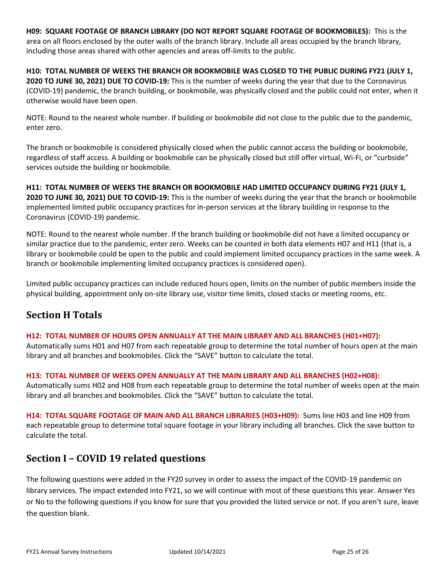**H09: SQUARE FOOTAGE OF BRANCH LIBRARY (DO NOT REPORT SQUARE FOOTAGE OF BOOKMOBILES):** This is the area on all floors enclosed by the outer walls of the branch library. Include all areas occupied by the branch library, including those areas shared with other agencies and areas off-limits to the public.

**H10: TOTAL NUMBER OF WEEKS THE BRANCH OR BOOKMOBILE WAS CLOSED TO THE PUBLIC DURING FY21 (JULY 1, 2020 TO JUNE 30, 2021) DUE TO COVID-19:** This is the number of weeks during the year that due to the Coronavirus (COVID-19) pandemic, the branch building, or bookmobile, was physically closed and the public could not enter, when it otherwise would have been open.

NOTE: Round to the nearest whole number. If building or bookmobile did not close to the public due to the pandemic, enter zero.

The branch or bookmobile is considered physically closed when the public cannot access the building or bookmobile, regardless of staff access. A building or bookmobile can be physically closed but still offer virtual, Wi-Fi, or "curbside" services outside the building or bookmobile.

**H11: TOTAL NUMBER OF WEEKS THE BRANCH OR BOOKMOBILE HAD LIMITED OCCUPANCY DURING FY21 (JULY 1, 2020 TO JUNE 30, 2021) DUE TO COVID-19:** This is the number of weeks during the year that the branch or bookmobile implemented limited public occupancy practices for in-person services at the library building in response to the Coronavirus (COVID-19) pandemic.

NOTE: Round to the nearest whole number. If the branch building or bookmobile did not have a limited occupancy or similar practice due to the pandemic, enter zero. Weeks can be counted in both data elements H07 and H11 (that is, a library or bookmobile could be open to the public and could implement limited occupancy practices in the same week. A branch or bookmobile implementing limited occupancy practices is considered open).

Limited public occupancy practices can include reduced hours open, limits on the number of public members inside the physical building, appointment only on-site library use, visitor time limits, closed stacks or meeting rooms, etc.

## **Section H Totals**

### **H12: TOTAL NUMBER OF HOURS OPEN ANNUALLY AT THE MAIN LIBRARY AND ALL BRANCHES (H01+H07):**

Automatically sums H01 and H07 from each repeatable group to determine the total number of hours open at the main library and all branches and bookmobiles. Click the "SAVE" button to calculate the total.

### **H13: TOTAL NUMBER OF WEEKS OPEN ANNUALLY AT THE MAIN LIBRARY AND ALL BRANCHES (H02+H08):**

Automatically sums H02 and H08 from each repeatable group to determine the total number of weeks open at the main library and all branches and bookmobiles. Click the "SAVE" button to calculate the total.

**H14: TOTAL SQUARE FOOTAGE OF MAIN AND ALL BRANCH LIBRARIES (H03+H09):** Sums line H03 and line H09 from each repeatable group to determine total square footage in your library including all branches. Click the save button to calculate the total.

## **Section I – COVID 19 related questions**

The following questions were added in the FY20 survey in order to assess the impact of the COVID-19 pandemic on library services. The impact extended into FY21, so we will continue with most of these questions this year. Answer Yes or No to the following questions if you know for sure that you provided the listed service or not. If you aren't sure, leave the question blank.